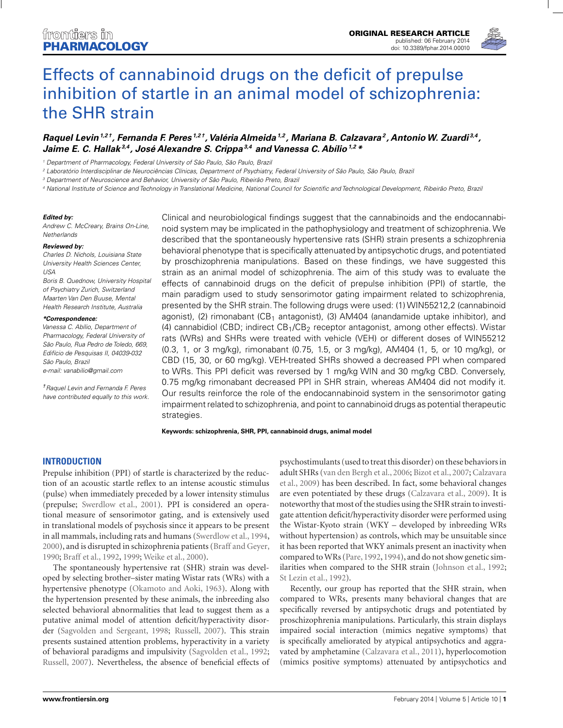

# Effects of cannabinoid drugs on the deficit of prepulse [inhibition of startle in an animal model of schizophrenia:](http://www.frontiersin.org/journal/10.3389/fphar.2014.00010/abstract) the SHR strain

# *[Raquel Levin](http://www.frontiersin.org/people/u/104232)1,2 †, [Fernanda F. Peres](http://www.frontiersin.org/people/u/121221) 1,2 †, [Valéria Almeida](http://community.frontiersin.org/people/Val%C3%A9riaAlmeida/134316)1,2 , [Mariana B. Calzavara2](http://community.frontiersin.org/people/MarianaCalzavara/134312) , [AntonioW. Zuardi](http://community.frontiersin.org/people/AntonioZuardi/76826) 3,4 , [Jaime E. C. Hallak](http://community.frontiersin.org/people/JaimeHallak/115869)3,4 , [José Alexandre S. Crippa](http://www.frontiersin.org/people/u/75853)3,4 and [Vanessa C. Abílio](http://www.frontiersin.org/people/u/113472)1,2 \**

<sup>1</sup> Department of Pharmacology, Federal University of São Paulo, São Paulo, Brazil

<sup>2</sup> Laboratório Interdisciplinar de Neurociências Clínicas, Department of Psychiatry, Federal University of São Paulo, São Paulo, Brazil

<sup>3</sup> Department of Neuroscience and Behavior, University of São Paulo, Ribeirão Preto, Brazil

<sup>4</sup> National Institute of Science and Technology in Translational Medicine, National Council for Scientific and Technological Development, Ribeirão Preto, Brazil

#### *Edited by:*

Andrew C. McCreary, Brains On-Line, **Netherlands** 

#### *Reviewed by:*

Charles D. Nichols, Louisiana State University Health Sciences Center,  $1ISA$ 

Boris B. Quednow, University Hospital of Psychiatry Zurich, Switzerland Maarten Van Den Buuse, Mental Health Research Institute, Australia

#### *\*Correspondence:*

Vanessa C. Abílio, Department of Pharmacology, Federal University of São Paulo, Rua Pedro de Toledo, 669, Edifício de Pesquisas II, 04039-032 São Paulo, Brazil

e-mail: [vanabilio@gmail.com](mailto:vanabilio@gmail.com)

†Raquel Levin and Fernanda F. Peres have contributed equally to this work.

Clinical and neurobiological findings suggest that the cannabinoids and the endocannabinoid system may be implicated in the pathophysiology and treatment of schizophrenia. We described that the spontaneously hypertensive rats (SHR) strain presents a schizophrenia behavioral phenotype that is specifically attenuated by antipsychotic drugs, and potentiated by proschizophrenia manipulations. Based on these findings, we have suggested this strain as an animal model of schizophrenia. The aim of this study was to evaluate the effects of cannabinoid drugs on the deficit of prepulse inhibition (PPI) of startle, the main paradigm used to study sensorimotor gating impairment related to schizophrenia, presented by the SHR strain. The following drugs were used: (1) WIN55212,2 (cannabinoid agonist), (2) rimonabant (CB<sub>1</sub> antagonist), (3)  $AM404$  (anandamide uptake inhibitor), and (4) cannabidiol (CBD; indirect  $CB_1/CB_2$  receptor antagonist, among other effects). Wistar rats (WRs) and SHRs were treated with vehicle (VEH) or different doses of WIN55212 (0.3, 1, or 3 mg/kg), rimonabant (0.75, 1.5, or 3 mg/kg), AM404 (1, 5, or 10 mg/kg), or CBD (15, 30, or 60 mg/kg). VEH-treated SHRs showed a decreased PPI when compared to WRs. This PPI deficit was reversed by 1 mg/kg WIN and 30 mg/kg CBD. Conversely, 0.75 mg/kg rimonabant decreased PPI in SHR strain, whereas AM404 did not modify it. Our results reinforce the role of the endocannabinoid system in the sensorimotor gating impairment related to schizophrenia, and point to cannabinoid drugs as potential therapeutic strategies.

#### **Keywords: schizophrenia, SHR, PPI, cannabinoid drugs, animal model**

#### **INTRODUCTION**

Prepulse inhibition (PPI) of startle is characterized by the reduction of an acoustic startle reflex to an intense acoustic stimulus (pulse) when immediately preceded by a lower intensity stimulus (prepulse; [Swerdlow et al., 2001](#page-9-0)). PPI is considered an operational measure of sensorimotor gating, and is extensively used in translational models of psychosis since it appears to be present in all mammals, including rats and humans [\(Swerdlow et al., 1994,](#page-9-0) [2000\)](#page-9-0), and is disrupted in schizophrenia patients [\(Braff and Geyer,](#page-7-0) [1990;](#page-7-0) [Braff et al.](#page-7-0), [1992,](#page-7-0) [1999](#page-7-0); [Weike et al., 2000\)](#page-9-0).

The spontaneously hypertensive rat (SHR) strain was developed by selecting brother–sister mating Wistar rats (WRs) with a hypertensive phenotype [\(Okamoto and Aoki](#page-8-0), [1963](#page-8-0)). Along with the hypertension presented by these animals, the inbreeding also selected behavioral abnormalities that lead to suggest them as a putative animal model of attention deficit/hyperactivity disorder [\(Sagvolden and Sergeant](#page-9-0), [1998](#page-9-0); [Russell](#page-8-0), [2007](#page-8-0)). This strain presents sustained attention problems, hyperactivity in a variety of behavioral paradigms and impulsivity [\(Sagvolden et al., 1992;](#page-8-0) [Russell, 2007](#page-8-0)). Nevertheless, the absence of beneficial effects of psychostimulants (used to treat this disorder) on these behaviors in adul[t SHRs](#page-7-0) [\(van den Bergh et al.](#page-9-0)[,](#page-7-0) [2006](#page-9-0)[;](#page-7-0) [Bizot et al.](#page-7-0), [2007](#page-7-0); Calzavara et al., [2009](#page-7-0)) has been described. In fact, some behavioral changes are even potentiated by these drugs [\(Calzavara et al.](#page-7-0), [2009](#page-7-0)). It is noteworthy that most of the studies using the SHR strain to investigate attention deficit/hyperactivity disorder were performed using the Wistar-Kyoto strain (WKY – developed by inbreeding WRs without hypertension) as controls, which may be unsuitable since it has been reported that WKY animals present an inactivity when compared toWRs [\(Pare](#page-8-0), [1992](#page-8-0), [1994\)](#page-8-0), and do not show genetic similarities when compared to the SHR strain [\(Johnson et al., 1992;](#page-7-0) [St Lezin et al., 1992](#page-9-0)).

Recently, our group has reported that the SHR strain, when compared to WRs, presents many behavioral changes that are specifically reversed by antipsychotic drugs and potentiated by proschizophrenia manipulations. Particularly, this strain displays impaired social interaction (mimics negative symptoms) that is specifically ameliorated by atypical antipsychotics and aggravated by amphetamine [\(Calzavara et al., 2011\)](#page-7-0), hyperlocomotion (mimics positive symptoms) attenuated by antipsychotics and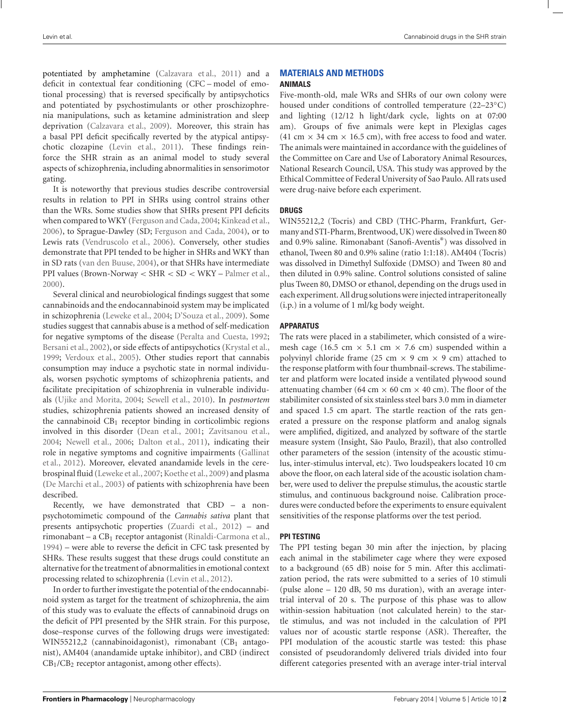potentiated by amphetamine [\(Calzavara et al., 2011\)](#page-7-0) and a deficit in contextual fear conditioning (CFC – model of emotional processing) that is reversed specifically by antipsychotics and potentiated by psychostimulants or other proschizophrenia manipulations, such as ketamine administration and sleep deprivation [\(Calzavara et al.](#page-7-0), [2009](#page-7-0)). Moreover, this strain has a basal PPI deficit specifically reverted by the atypical antipsychotic clozapine [\(Levin et al.](#page-8-0), [2011\)](#page-8-0). These findings reinforce the SHR strain as an animal model to study several aspects of schizophrenia, including abnormalities in sensorimotor gating.

It is noteworthy that previous studies describe controversial results in relation to PPI in SHRs using control strains other than the WRs. Some studies show that SHRs present PPI deficits when compared toWKY [\(Ferguson and Cada](#page-7-0), [2004;](#page-7-0) [Kinkead et al.,](#page-8-0) [2006\)](#page-8-0), to Sprague-Dawley (SD; [Ferguson and Cada, 2004\)](#page-7-0), or to Lewis rats [\(Vendruscolo et al., 2006\)](#page-9-0). Conversely, other studies demonstrate that PPI tended to be higher in SHRs and WKY than in SD rats [\(van den Buuse, 2004\)](#page-9-0), or that SHRs have intermediate PPI values (Brown-Norway < SHR < SD < WKY – [Palmer et al.,](#page-8-0) [2000\)](#page-8-0).

Several clinical and neurobiological findings suggest that some cannabinoids and the endocannabinoid system may be implicated in schizophrenia [\(Leweke et al.](#page-8-0), [2004;](#page-8-0) [D'Souza et al., 2009\)](#page-7-0). Some studies suggest that cannabis abuse is a method of self-medication for negative symptoms of the disease [\(Peralta and Cuesta, 1992;](#page-8-0) [Bersani et al., 2002\)](#page-6-0), or side effects of antipsychotics [\(Krystal et al.](#page-8-0), [1999;](#page-8-0) [Verdoux et al., 2005](#page-9-0)). Other studies report that cannabis consumption may induce a psychotic state in normal individuals, worsen psychotic symptoms of schizophrenia patients, and facilitate precipitation of schizophrenia in vulnerable individuals [\(Ujike and Morita, 2004](#page-9-0); [Sewell et al.](#page-9-0), [2010\)](#page-9-0). In *postmortem* studies, schizophrenia patients showed an increased density of the cannabinoid  $CB_1$  receptor binding in corticolimbic regions involved in this disorder [\(Dean et al., 2001](#page-7-0); [Zavitsanou et al.](#page-9-0), [2004;](#page-9-0) [Newell et al., 2006](#page-8-0); [Dalton et al.](#page-7-0), [2011](#page-7-0)), indicating their role [in negative symptoms and cognitive impairments \(](#page-7-0)Gallinat et al., [2012](#page-7-0)). Moreover, elevated anandamide levels in the cerebrospinal fluid [\(Leweke et al., 2007](#page-8-0); [Koethe et al., 2009](#page-8-0)) and plasma [\(De Marchi et al., 2003\)](#page-7-0) of patients with schizophrenia have been described.

Recently, we have demonstrated that CBD – a nonpsychotomimetic compound of the *Cannabis sativa* plant that presents antipsychotic properties [\(Zuardi et al.](#page-9-0), [2012\)](#page-9-0) – and rimonabant – a  $CB<sub>1</sub>$  receptor antagonist [\(Rinaldi-Carmona et al.](#page-8-0), [1994\)](#page-8-0) – were able to reverse the deficit in CFC task presented by SHRs. These results suggest that these drugs could constitute an alternative for the treatment of abnormalities in emotional context processing related to schizophrenia [\(Levin et al., 2012](#page-8-0)).

In order to further investigate the potential of the endocannabinoid system as target for the treatment of schizophrenia, the aim of this study was to evaluate the effects of cannabinoid drugs on the deficit of PPI presented by the SHR strain. For this purpose, dose–response curves of the following drugs were investigated: WIN55212,2 (cannabinoidagonist), rimonabant  $(CB<sub>1</sub>$  antagonist), AM404 (anandamide uptake inhibitor), and CBD (indirect  $CB<sub>1</sub>/CB<sub>2</sub>$  receptor antagonist, among other effects).

# **MATERIALS AND METHODS**

#### **ANIMALS**

Five-month-old, male WRs and SHRs of our own colony were housed under conditions of controlled temperature (22–23◦C) and lighting (12/12 h light/dark cycle, lights on at 07:00 am). Groups of five animals were kept in Plexiglas cages (41 cm  $\times$  34 cm  $\times$  16.5 cm), with free access to food and water. The animals were maintained in accordance with the guidelines of the Committee on Care and Use of Laboratory Animal Resources, National Research Council, USA. This study was approved by the Ethical Committee of Federal University of Sao Paulo. All rats used were drug-naive before each experiment.

#### **DRUGS**

WIN55212,2 (Tocris) and CBD (THC-Pharm, Frankfurt, Germany and STI-Pharm, Brentwood, UK) were dissolved in Tween 80 and 0.9% saline. Rimonabant (Sanofi-Aventis®) was dissolved in ethanol, Tween 80 and 0.9% saline (ratio 1:1:18). AM404 (Tocris) was dissolved in Dimethyl Sulfoxide (DMSO) and Tween 80 and then diluted in 0.9% saline. Control solutions consisted of saline plus Tween 80, DMSO or ethanol, depending on the drugs used in each experiment. All drug solutions were injected intraperitoneally (i.p.) in a volume of 1 ml/kg body weight.

## **APPARATUS**

The rats were placed in a stabilimeter, which consisted of a wiremesh cage (16.5 cm  $\times$  5.1 cm  $\times$  7.6 cm) suspended within a polyvinyl chloride frame (25 cm  $\times$  9 cm  $\times$  9 cm) attached to the response platform with four thumbnail-screws. The stabilimeter and platform were located inside a ventilated plywood sound attenuating chamber (64 cm  $\times$  60 cm  $\times$  40 cm). The floor of the stabilimiter consisted of six stainless steel bars 3.0 mm in diameter and spaced 1.5 cm apart. The startle reaction of the rats generated a pressure on the response platform and analog signals were amplified, digitized, and analyzed by software of the startle measure system (Insight, São Paulo, Brazil), that also controlled other parameters of the session (intensity of the acoustic stimulus, inter-stimulus interval, etc). Two loudspeakers located 10 cm above the floor, on each lateral side of the acoustic isolation chamber, were used to deliver the prepulse stimulus, the acoustic startle stimulus, and continuous background noise. Calibration procedures were conducted before the experiments to ensure equivalent sensitivities of the response platforms over the test period.

## **PPI TESTING**

The PPI testing began 30 min after the injection, by placing each animal in the stabilimeter cage where they were exposed to a background (65 dB) noise for 5 min. After this acclimatization period, the rats were submitted to a series of 10 stimuli (pulse alone – 120 dB, 50 ms duration), with an average intertrial interval of 20 s. The purpose of this phase was to allow within-session habituation (not calculated herein) to the startle stimulus, and was not included in the calculation of PPI values nor of acoustic startle response (ASR). Thereafter, the PPI modulation of the acoustic startle was tested: this phase consisted of pseudorandomly delivered trials divided into four different categories presented with an average inter-trial interval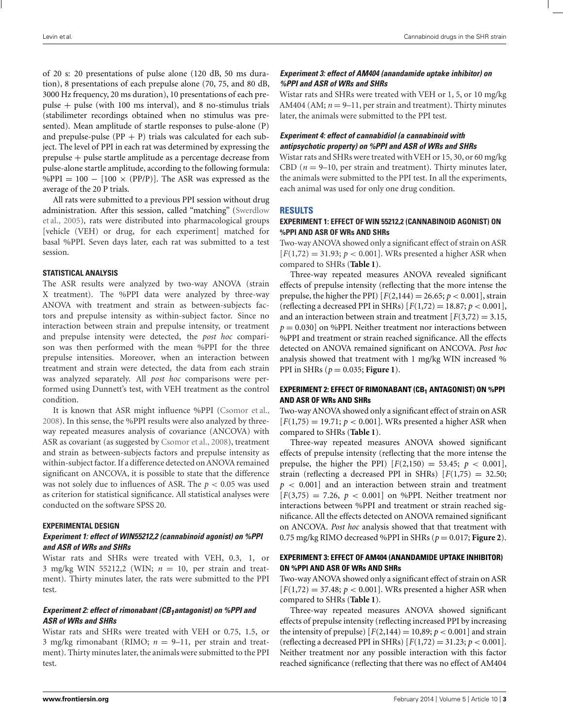of 20 s: 20 presentations of pulse alone (120 dB, 50 ms duration), 8 presentations of each prepulse alone (70, 75, and 80 dB, 3000 Hz frequency, 20 ms duration), 10 presentations of each prepulse + pulse (with 100 ms interval), and 8 no-stimulus trials (stabilimeter recordings obtained when no stimulus was presented). Mean amplitude of startle responses to pulse-alone (P) and prepulse-pulse  $(PP + P)$  trials was calculated for each subject. The level of PPI in each rat was determined by expressing the prepulse + pulse startle amplitude as a percentage decrease from pulse-alone startle amplitude, according to the following formula: %PPI =  $100 - [100 \times (PP/P)].$  The ASR was expressed as the average of the 20 P trials.

All rats were submitted to a previous PPI session without drug adm[inistration. After this session, called "matching" \(](#page-9-0)Swerdlow et al., [2005](#page-9-0)), rats were distributed into pharmacological groups [vehicle (VEH) or drug, for each experiment] matched for basal %PPI. Seven days later, each rat was submitted to a test session.

#### **STATISTICAL ANALYSIS**

The ASR results were analyzed by two-way ANOVA (strain X treatment). The %PPI data were analyzed by three-way ANOVA with treatment and strain as between-subjects factors and prepulse intensity as within-subject factor. Since no interaction between strain and prepulse intensity, or treatment and prepulse intensity were detected, the *post hoc* comparison was then performed with the mean %PPI for the three prepulse intensities. Moreover, when an interaction between treatment and strain were detected, the data from each strain was analyzed separately. All *post hoc* comparisons were performed using Dunnett's test, with VEH treatment as the control condition.

It is known that ASR might influence %PPI [\(Csomor et al.,](#page-7-0) [2008\)](#page-7-0). In this sense, the %PPI results were also analyzed by threeway repeated measures analysis of covariance (ANCOVA) with ASR as covariant (as suggested by [Csomor et al.](#page-7-0), [2008\)](#page-7-0), treatment and strain as between-subjects factors and prepulse intensity as within-subject factor. If a difference detected on ANOVA remained significant on ANCOVA, it is possible to state that the difference was not solely due to influences of ASR. The *p* < 0.05 was used as criterion for statistical significance. All statistical analyses were conducted on the software SPSS 20.

#### **EXPERIMENTAL DESIGN**

## *Experiment 1: effect of WIN55212,2 (cannabinoid agonist) on %PPI and ASR of WRs and SHRs*

Wistar rats and SHRs were treated with VEH, 0.3, 1, or 3 mg/kg WIN 55212,2 (WIN; *n* = 10, per strain and treatment). Thirty minutes later, the rats were submitted to the PPI test.

# *Experiment 2: effect of rimonabant (CB<sub>1</sub>antagonist) on %PPI and ASR of WRs and SHRs*

Wistar rats and SHRs were treated with VEH or 0.75, 1.5, or 3 mg/kg rimonabant (RIMO;  $n = 9-11$ , per strain and treatment). Thirty minutes later, the animals were submitted to the PPI test.

# *Experiment 3: effect of AM404 (anandamide uptake inhibitor) on %PPI and ASR of WRs and SHRs*

Wistar rats and SHRs were treated with VEH or 1, 5, or 10 mg/kg AM404 (AM; *n* = 9–11, per strain and treatment). Thirty minutes later, the animals were submitted to the PPI test.

# *Experiment 4: effect of cannabidiol (a cannabinoid with antipsychotic property) on %PPI and ASR of WRs and SHRs*

Wistar rats and SHRs were treated with VEH or 15, 30, or 60 mg/kg CBD ( $n = 9-10$ , per strain and treatment). Thirty minutes later, the animals were submitted to the PPI test. In all the experiments, each animal was used for only one drug condition.

# **RESULTS**

# **EXPERIMENT 1: EFFECT OF WIN 55212,2 (CANNABINOID AGONIST) ON %PPI AND ASR OF WRs AND SHRs**

Two-way ANOVA showed only a significant effect of strain on ASR  $[F(1,72) = 31.93; p < 0.001]$ . WRs presented a higher ASR when compared to SHRs (**[Table 1](#page-3-0)**).

Three-way repeated measures ANOVA revealed significant effects of prepulse intensity (reflecting that the more intense the prepulse, the higher the PPI)  $[F(2,144) = 26.65; p < 0.001]$ , strain (reflecting a decreased PPI in SHRs) [*F*(1,72) = 18.87; *p* < 0.001], and an interaction between strain and treatment  $F(3,72) = 3.15$ ,  $p = 0.030$ ] on %PPI. Neither treatment nor interactions between %PPI and treatment or strain reached significance. All the effects detected on ANOVA remained significant on ANCOVA. *Post hoc* analysis showed that treatment with 1 mg/kg WIN increased % PPI in SHRs (*p* = 0.035; **[Figure 1](#page-3-0)**).

# **EXPERIMENT 2: EFFECT OF RIMONABANT (CB1 ANTAGONIST) ON %PPI AND ASR OF WRs AND SHRs**

Two-way ANOVA showed only a significant effect of strain on ASR  $F(F(1,75) = 19.71; p < 0.001$ . WRs presented a higher ASR when compared to SHRs (**[Table 1](#page-3-0)**).

Three-way repeated measures ANOVA showed significant effects of prepulse intensity (reflecting that the more intense the prepulse, the higher the PPI)  $[F(2,150) = 53.45; p < 0.001]$ , strain (reflecting a decreased PPI in SHRs)  $F(1,75) = 32.50$ ; *p* < 0.001] and an interaction between strain and treatment  $[F(3,75) = 7.26, p < 0.001]$  on %PPI. Neither treatment nor interactions between %PPI and treatment or strain reached significance. All the effects detected on ANOVA remained significant on ANCOVA. *Post hoc* analysis showed that that treatment with 0.75 mg/kg RIMO decreased %PPI in SHRs (*p* = 0.017; **[Figure 2](#page-3-0)**).

## **EXPERIMENT 3: EFFECT OF AM404 (ANANDAMIDE UPTAKE INHIBITOR) ON %PPI AND ASR OF WRs AND SHRs**

Two-way ANOVA showed only a significant effect of strain on ASR  $[F(1,72) = 37.48; p < 0.001]$ . WRs presented a higher ASR when compared to SHRs (**[Table 1](#page-3-0)**).

Three-way repeated measures ANOVA showed significant effects of prepulse intensity (reflecting increased PPI by increasing the intensity of prepulse)  $[F(2,144) = 10,89; p < 0.001]$  and strain (reflecting a decreased PPI in SHRs)  $[F(1,72) = 31.23; p < 0.001]$ . Neither treatment nor any possible interaction with this factor reached significance (reflecting that there was no effect of AM404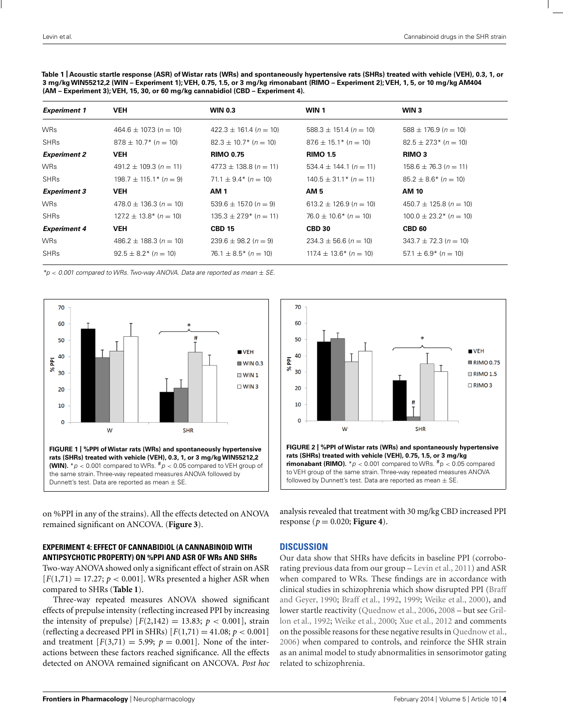<span id="page-3-0"></span>**Table 1 | Acoustic startle response (ASR) ofWistar rats (WRs) and spontaneously hypertensive rats (SHRs) treated with vehicle (VEH), 0.3, 1, or 3 mg/kgWIN55212,2 (WIN – Experiment 1); VEH, 0.75, 1.5, or 3 mg/kg rimonabant (RIMO – Experiment 2); VEH, 1, 5, or 10 mg/kg AM404 (AM – Experiment 3); VEH, 15, 30, or 60 mg/kg cannabidiol (CBD – Experiment 4).**

| <b>Experiment 1</b> | <b>VEH</b>                  | <b>WIN 0.3</b>              | WIN 1                       | WIN 3                         |
|---------------------|-----------------------------|-----------------------------|-----------------------------|-------------------------------|
| <b>WRs</b>          | $464.6 \pm 107.3$ (n = 10)  | $422.3 \pm 161.4$ (n = 10)  | $588.3 \pm 151.4$ (n = 10)  | $588 \pm 176.9$ (n = 10)      |
| <b>SHRs</b>         | $87.8 \pm 10.7$ * (n = 10)  | $82.3 \pm 10.7$ * (n = 10)  | $87.6 \pm 15.1$ * (n = 10)  | $82.5 \pm 27.3$ (n = 10)      |
| <b>Experiment 2</b> | <b>VEH</b>                  | <b>RIMO 0.75</b>            | <b>RIMO 1.5</b>             | <b>RIMO 3</b>                 |
| <b>WRs</b>          | $491.2 \pm 109.3$ (n = 11)  | $477.3 \pm 138.8$ (n = 11)  | $534.4 \pm 144.1 (n = 11)$  | $158.6 \pm 76.3$ (n = 11)     |
| <b>SHRs</b>         | $198.7 \pm 115.1^*$ (n = 9) | $71.1 \pm 9.4$ * $(n = 10)$ | $140.5 \pm 31.1^*$ (n = 11) | $85.2 \pm 8.6^*$ (n = 10)     |
| <b>Experiment 3</b> | <b>VEH</b>                  | <b>AM1</b>                  | AM 5                        | AM 10                         |
| <b>WRs</b>          | $478.0 \pm 136.3$ (n = 10)  | $539.6 \pm 157.0$ (n = 9)   | $613.2 \pm 126.9$ (n = 10)  | $450.7 \pm 125.8$ (n = 10)    |
| <b>SHRs</b>         | $127.2 \pm 13.8$ * (n = 10) | $135.3 \pm 27.9$ (n = 11)   | $76.0 \pm 10.6^*$ (n = 10)  | $100.0 \pm 23.2$ * $(n = 10)$ |
| <b>Experiment 4</b> | <b>VEH</b>                  | <b>CBD 15</b>               | <b>CBD 30</b>               | <b>CBD 60</b>                 |
| <b>WRs</b>          | $486.2 \pm 188.3$ (n = 10)  | $239.6 \pm 98.2 (n = 9)$    | $234.3 \pm 56.6$ (n = 10)   | $343.7 \pm 72.3$ (n = 10)     |
| <b>SHRs</b>         | $92.5 \pm 8.2^*$ (n = 10)   | $76.1 \pm 8.5^*$ (n = 10)   | $117.4 \pm 13.6^*$ (n = 10) | $57.1 \pm 6.9^*$ (n = 10)     |

 $*p < 0.001$  compared to WRs. Two-way ANOVA. Data are reported as mean  $\pm$  SE.





on %PPI in any of the strains). All the effects detected on ANOVA remained significant on ANCOVA. (**[Figure 3](#page-4-0)**).

#### **EXPERIMENT 4: EFFECT OF CANNABIDIOL (A CANNABINOID WITH ANTIPSYCHOTIC PROPERTY) ON %PPI AND ASR OF WRs AND SHRs**

Two-way ANOVA showed only a significant effect of strain on ASR  $[F(1,71) = 17.27; p < 0.001]$ . WRs presented a higher ASR when compared to SHRs (**Table 1**).

Three-way repeated measures ANOVA showed significant effects of prepulse intensity (reflecting increased PPI by increasing the intensity of prepulse)  $[F(2,142) = 13.83; p < 0.001]$ , strain (reflecting a decreased PPI in SHRs)  $[F(1,71) = 41.08; p < 0.001]$ and treatment  $[F(3,71) = 5.99; p = 0.001]$ . None of the interactions between these factors reached significance. All the effects detected on ANOVA remained significant on ANCOVA. *Post hoc* analysis revealed that treatment with 30 mg/kg CBD increased PPI response ( $p = 0.020$ ; **[Figure 4](#page-4-0)**).

#### **DISCUSSION**

Our data show that SHRs have deficits in baseline PPI (corroborating previous data from our group – [Levin et al.](#page-8-0), [2011\)](#page-8-0) and ASR when compared to WRs. These findings are in accordance with clinical st[udies in schizophrenia which show disrupted PPI \(](#page-7-0)Braff and Geyer, [1990;](#page-7-0) [Braff et al.](#page-7-0), [1992,](#page-7-0) [1999;](#page-7-0) [Weike et al.](#page-9-0), [2000](#page-9-0)), and lower st[artle reactivity](#page-7-0) [\(Quednow et al.](#page-8-0)[,](#page-7-0) [2006](#page-8-0)[,](#page-7-0) [2008](#page-8-0) – but see Grillon et al., [1992](#page-7-0); [Weike et al., 2000;](#page-9-0) [Xue et al.](#page-9-0), [2012](#page-9-0) and comments on the possible reasons for these negative results in [Quednow et al.,](#page-8-0) [2006](#page-8-0)) when compared to controls, and reinforce the SHR strain as an animal model to study abnormalities in sensorimotor gating related to schizophrenia.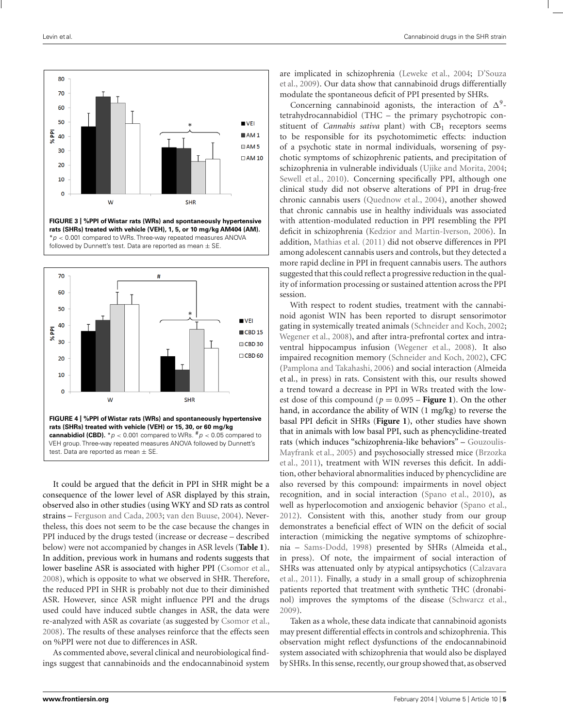<span id="page-4-0"></span>

**FIGURE 3 | %PPI ofWistar rats (WRs) and spontaneously hypertensive rats (SHRs) treated with vehicle (VEH), 1, 5, or 10 mg/kg AM404 (AM).**  $*p < 0.001$  compared to WRs. Three-way repeated measures ANOVA followed by Dunnett's test. Data are reported as mean  $\pm$  SE



It could be argued that the deficit in PPI in SHR might be a consequence of the lower level of ASR displayed by this strain, observed also in other studies (using WKY and SD rats as control strains – [Ferguson and Cada](#page-7-0), [2003;](#page-7-0) [van den Buuse, 2004](#page-9-0)). Nevertheless, this does not seem to be the case because the changes in PPI induced by the drugs tested (increase or decrease – described below) were not accompanied by changes in ASR levels (**[Table 1](#page-3-0)**). In addition, previous work in humans and rodents suggests that lower baseline ASR is associated with higher PPI [\(Csomor et al.,](#page-7-0) [2008\)](#page-7-0), which is opposite to what we observed in SHR. Therefore, the reduced PPI in SHR is probably not due to their diminished ASR. However, since ASR might influence PPI and the drugs used could have induced subtle changes in ASR, the data were re-analyzed with ASR as covariate (as suggested by [Csomor et al.,](#page-7-0) [2008\)](#page-7-0). The results of these analyses reinforce that the effects seen on %PPI were not due to differences in ASR.

As commented above, several clinical and neurobiological findings suggest that cannabinoids and the endocannabinoid system are [implicated in schizophrenia](#page-7-0) [\(Leweke et al.](#page-8-0)[,](#page-7-0) [2004;](#page-8-0) D'Souza et al., [2009](#page-7-0)). Our data show that cannabinoid drugs differentially modulate the spontaneous deficit of PPI presented by SHRs.

Concerning cannabinoid agonists, the interaction of  $\Delta^9$ tetrahydrocannabidiol (THC – the primary psychotropic constituent of *Cannabis sativa* plant) with CB<sub>1</sub> receptors seems to be responsible for its psychotomimetic effects: induction of a psychotic state in normal individuals, worsening of psychotic symptoms of schizophrenic patients, and precipitation of schizophrenia in vulnerable individuals [\(Ujike and Morita](#page-9-0), [2004;](#page-9-0) [Sewell et al.](#page-9-0), [2010\)](#page-9-0). Concerning specifically PPI, although one clinical study did not observe alterations of PPI in drug-free chronic cannabis users [\(Quednow et al., 2004](#page-8-0)), another showed that chronic cannabis use in healthy individuals was associated with attention-modulated reduction in PPI resembling the PPI deficit in schizophrenia [\(Kedzior and Martin-Iverson, 2006](#page-7-0)). In addition, [Mathias et al.](#page-8-0) [\(2011\)](#page-8-0) did not observe differences in PPI among adolescent cannabis users and controls, but they detected a more rapid decline in PPI in frequent cannabis users. The authors suggested that this could reflect a progressive reduction in the quality of information processing or sustained attention across the PPI session.

With respect to rodent studies, treatment with the cannabinoid agonist WIN has been reported to disrupt sensorimotor gating in systemically treated animals [\(Schneider and Koch](#page-9-0), [2002;](#page-9-0) [Wegener et al., 2008](#page-9-0)), and after intra-prefrontal cortex and intraventral hippocampus infusion [\(Wegener et al., 2008\)](#page-9-0). It also impaired recognition memory [\(Schneider and Koch, 2002](#page-9-0)), CFC [\(Pamplona and Takahashi, 2006\)](#page-8-0) and social interaction (Almeida et al., in press) in rats. Consistent with this, our results showed a trend toward a decrease in PPI in WRs treated with the lowest dose of this compound ( $p = 0.095$  – **[Figure 1](#page-3-0)**). On the other hand, in accordance the ability of WIN (1 mg/kg) to reverse the basal PPI deficit in SHRs (**[Figure 1](#page-3-0)**), other studies have shown that in animals with low basal PPI, such as phencyclidine-treated rats (which in[duces "schizophrenia-like behaviors" –](#page-7-0) Gouzoulis-May[frank et al., 2005\) and psychosocially stressed mice \(](#page-7-0)Brzozka et al., [2011](#page-7-0)), treatment with WIN reverses this deficit. In addition, other behavioral abnormalities induced by phencyclidine are also reversed by this compound: impairments in novel object recognition, and in social interaction [\(Spano et al., 2010](#page-9-0)), as well as hyperlocomotion and anxiogenic behavior [\(Spano et al.,](#page-9-0) [2012](#page-9-0)). Consistent with this, another study from our group demonstrates a beneficial effect of WIN on the deficit of social interaction (mimicking the negative symptoms of schizophrenia – [Sams-Dodd, 1998](#page-9-0)) presented by SHRs (Almeida et al., in press). Of note, the impairment of social interaction of SHR[s was attenuated only by atypical antipsychotics \(](#page-7-0)Calzavara et al., [2011](#page-7-0)). Finally, a study in a small group of schizophrenia patients reported that treatment with synthetic THC (dronabinol) improves the symptoms of the disease [\(Schwarcz et al.,](#page-9-0) [2009](#page-9-0)).

Taken as a whole, these data indicate that cannabinoid agonists may present differential effects in controls and schizophrenia. This observation might reflect dysfunctions of the endocannabinoid system associated with schizophrenia that would also be displayed by SHRs. In this sense, recently, our group showed that, as observed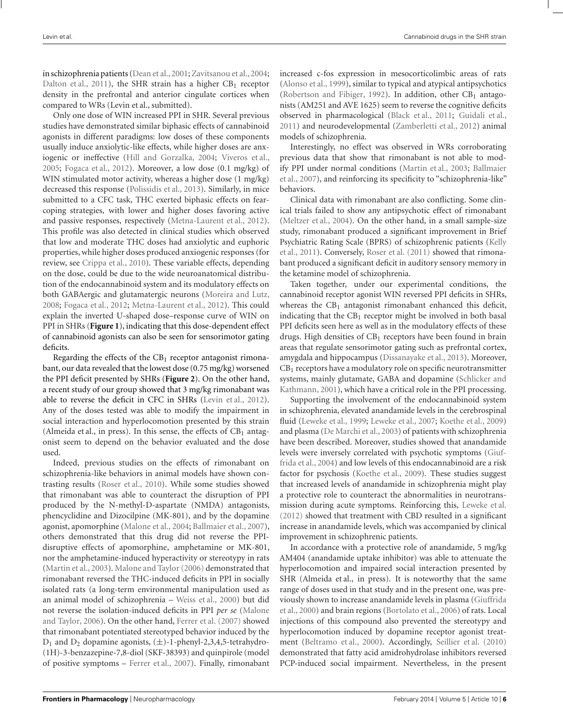in schizophrenia patients [\(Dean et al.,2001;](#page-7-0) [Zavitsanou et al.](#page-9-0),[2004;](#page-9-0) [Dalton et al., 2011\)](#page-7-0), the SHR strain has a higher  $CB_1$  receptor density in the prefrontal and anterior cingulate cortices when compared to WRs (Levin et al., submitted).

Only one dose of WIN increased PPI in SHR. Several previous studies have demonstrated similar biphasic effects of cannabinoid agonists in different paradigms: low doses of these components usually induce anxiolytic-like effects, while higher doses are anxiogenic or ineffective [\(Hill and Gorzalka](#page-7-0), [2004;](#page-7-0) [Viveros et al.,](#page-9-0) [2005;](#page-9-0) [Fogaca et al.](#page-7-0), [2012](#page-7-0)). Moreover, a low dose (0.1 mg/kg) of WIN stimulated motor activity, whereas a higher dose  $(1 \text{ mg/kg})$ decreased this response [\(Polissidis et al., 2013](#page-8-0)). Similarly, in mice submitted to a CFC task, THC exerted biphasic effects on fearcoping strategies, with lower and higher doses favoring active and passive responses, respectively [\(Metna-Laurent et al., 2012](#page-8-0)). This profile was also detected in clinical studies which observed that low and moderate THC doses had anxiolytic and euphoric properties, while higher doses produced anxiogenic responses (for review, see [Crippa et al., 2010](#page-7-0)). These variable effects, depending on the dose, could be due to the wide neuroanatomical distribution of the endocannabinoid system and its modulatory effects on both GABAergic and glutamatergic neurons [\(Moreira and Lutz,](#page-8-0) [2008;](#page-8-0) [Fogaca et al., 2012](#page-7-0); [Metna-Laurent et al.](#page-8-0), [2012\)](#page-8-0). This could explain the inverted U-shaped dose–response curve of WIN on PPI in SHRs (**[Figure 1](#page-3-0)**), indicating that this dose-dependent effect of cannabinoid agonists can also be seen for sensorimotor gating deficits.

Regarding the effects of the  $CB<sub>1</sub>$  receptor antagonist rimonabant, our data revealed that the lowest dose (0.75 mg/kg) worsened the PPI deficit presented by SHRs (**[Figure 2](#page-3-0)**). On the other hand, a recent study of our group showed that 3 mg/kg rimonabant was able to reverse the deficit in CFC in SHRs [\(Levin et al.](#page-8-0), [2012](#page-8-0)). Any of the doses tested was able to modify the impairment in social interaction and hyperlocomotion presented by this strain (Almeida et al., in press). In this sense, the effects of  $CB<sub>1</sub>$  antagonist seem to depend on the behavior evaluated and the dose used.

Indeed, previous studies on the effects of rimonabant on schizophrenia-like behaviors in animal models have shown contrasting results [\(Roser et al.](#page-8-0), [2010\)](#page-8-0). While some studies showed that rimonabant was able to counteract the disruption of PPI produced by the N-methyl-D-aspartate (NMDA) antagonists, phencyclidine and Dizocilpine (MK-801), and by the dopamine agonist, apomorphine [\(Malone et al.](#page-8-0), [2004;](#page-8-0) [Ballmaier et al.](#page-6-0), [2007](#page-6-0)), others demonstrated that this drug did not reverse the PPIdisruptive effects of apomorphine, amphetamine or MK-801, nor the amphetamine-induced hyperactivity or stereotypy in rats [\(Martin et al., 2003](#page-8-0)). [Malone and Taylor](#page-8-0) [\(2006\)](#page-8-0) demonstrated that rimonabant reversed the THC-induced deficits in PPI in socially isolated rats (a long-term environmental manipulation used as an animal model of schizophrenia – [Weiss et al., 2000](#page-9-0)) but did not revers[e the isolation-induced deficits in PPI](#page-8-0) *per se* (Malone and Taylor, [2006](#page-8-0)). On the other hand, [Ferrer et al.](#page-7-0) [\(2007\)](#page-7-0) showed that rimonabant potentiated stereotyped behavior induced by the  $D_1$  and  $D_2$  dopamine agonists,  $(\pm)$ -1-phenyl-2,3,4,5-tetrahydro-(1H)-3-benzazepine-7,8-diol (SKF-38393) and quinpirole (model of positive symptoms – [Ferrer et al.](#page-7-0), [2007](#page-7-0)). Finally, rimonabant increased c-fos expression in mesocorticolimbic areas of rats [\(Alonso et al., 1999\)](#page-6-0), similar to typical and atypical antipsychotics [\(Robertson and Fibiger](#page-8-0), [1992\)](#page-8-0). In addition, other  $CB<sub>1</sub>$  antagonists (AM251 and AVE 1625) seem to reverse the cognitive deficits observed in pharmacological [\(Black et al.](#page-7-0), [2011;](#page-7-0) [Guidali et al.,](#page-7-0) [2011](#page-7-0)) and neurodevelopmental [\(Zamberletti et al.](#page-9-0), [2012](#page-9-0)) animal models of schizophrenia.

Interestingly, no effect was observed in WRs corroborating previous data that show that rimonabant is not able to modify [PPI under normal conditions](#page-6-0) [\(Martin et al.](#page-8-0)[,](#page-6-0) [2003;](#page-8-0) Ballmaier et al., [2007](#page-6-0)), and reinforcing its specificity to "schizophrenia-like" behaviors.

Clinical data with rimonabant are also conflicting. Some clinical trials failed to show any antipsychotic effect of rimonabant [\(Meltzer et al., 2004\)](#page-8-0). On the other hand, in a small sample-size study, rimonabant produced a significant improvement in Brief Psyc[hiatric Rating Scale \(BPRS\) of schizophrenic patients \(](#page-7-0)Kelly et al., [2011](#page-7-0)). Conversely, [Roser et al.](#page-8-0) [\(2011](#page-8-0)) showed that rimonabant produced a significant deficit in auditory sensory memory in the ketamine model of schizophrenia.

Taken together, under our experimental conditions, the cannabinoid receptor agonist WIN reversed PPI deficits in SHRs, whereas the  $CB<sub>1</sub>$  antagonist rimonabant enhanced this deficit, indicating that the  $CB_1$  receptor might be involved in both basal PPI deficits seen here as well as in the modulatory effects of these drugs. High densities of  $CB<sub>1</sub>$  receptors have been found in brain areas that regulate sensorimotor gating such as prefrontal cortex, amygdala and hippocampus [\(Dissanayake et al.](#page-7-0), [2013\)](#page-7-0). Moreover, CB1 receptors have a modulatory role on specific neurotransmitter systems, [mainly glutamate, GABA and dopamine \(](#page-9-0)Schlicker and Kathmann, [2001\)](#page-9-0), which have a critical role in the PPI processing.

Supporting the involvement of the endocannabinoid system in schizophrenia, elevated anandamide levels in the cerebrospinal fluid [\(Leweke et al., 1999](#page-8-0); [Leweke et al., 2007](#page-8-0); [Koethe et al., 2009](#page-8-0)) and plasma [\(De Marchi et al.](#page-7-0), [2003](#page-7-0)) of patients with schizophrenia have been described. Moreover, studies showed that anandamide levels wer[e inversely correlated with psychotic symptoms \(](#page-7-0)Giuffrida et al., [2004\)](#page-7-0) and low levels of this endocannabinoid are a risk factor for psychosis [\(Koethe et al., 2009](#page-8-0)). These studies suggest that increased levels of anandamide in schizophrenia might play a protective role to counteract the abnormalities in neurotransmission during acute symptoms. Reinforcing this, [Leweke et al.](#page-8-0) [\(2012\)](#page-8-0) showed that treatment with CBD resulted in a significant increase in anandamide levels, which was accompanied by clinical improvement in schizophrenic patients.

In accordance with a protective role of anandamide, 5 mg/kg AM404 (anandamide uptake inhibitor) was able to attenuate the hyperlocomotion and impaired social interaction presented by SHR (Almeida et al., in press). It is noteworthy that the same range of doses used in that study and in the present one, was previou[sly shown to increase anandamide levels in plasma \(](#page-7-0)Giuffrida et al., [2000\)](#page-7-0) and brain regions [\(Bortolato et al.](#page-7-0), [2006](#page-7-0)) of rats. Local injections of this compound also prevented the stereotypy and hyperlocomotion induced by dopamine receptor agonist treatment [\(Beltramo et al.](#page-6-0), [2000](#page-6-0)). Accordingly, [Seillier et al.](#page-9-0) [\(2010](#page-9-0)) demonstrated that fatty acid amidrohydrolase inhibitors reversed PCP-induced social impairment. Nevertheless, in the present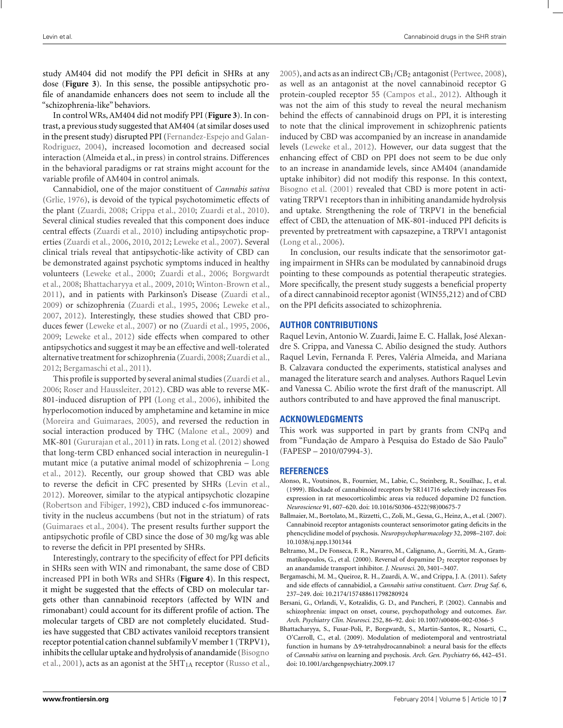<span id="page-6-0"></span>study AM404 did not modify the PPI deficit in SHRs at any dose (**[Figure 3](#page-4-0)**). In this sense, the possible antipsychotic profile of anandamide enhancers does not seem to include all the "schizophrenia-like" behaviors.

In control WRs, AM404 did not modify PPI (**[Figure 3](#page-4-0)**). In contrast, a previous study suggested that AM404 (at similar doses used in the pre[sent](#page-7-0) [study\)](#page-7-0) [disrupted](#page-7-0) [PPI](#page-7-0) [\(](#page-7-0)Fernandez-Espejo and Galan-Rodriguez, [2004](#page-7-0)), increased locomotion and decreased social interaction (Almeida et al., in press) in control strains. Differences in the behavioral paradigms or rat strains might account for the variable profile of AM404 in control animals.

Cannabidiol, one of the major constituent of *Cannabis sativa* [\(Grlie, 1976\)](#page-7-0), is devoid of the typical psychotomimetic effects of the plant [\(Zuardi](#page-9-0), [2008](#page-9-0); [Crippa et al., 2010](#page-7-0); [Zuardi et al., 2010](#page-9-0)). Several clinical studies revealed that this component does induce central effects [\(Zuardi et al., 2010](#page-9-0)) including antipsychotic properties [\(Zuardi et al., 2006,](#page-9-0) [2010](#page-9-0), [2012](#page-9-0); [Leweke et al., 2007](#page-8-0)). Several clinical trials reveal that antipsychotic-like activity of CBD can be demonstrated against psychotic symptoms induced in healthy volu[nteers](#page-7-0) [\(Leweke et al.](#page-8-0)[,](#page-7-0) [2000](#page-8-0)[;](#page-7-0) [Zuardi et al.](#page-9-0), [2006;](#page-9-0) Borgwardt et al., [2008](#page-7-0); Bhattacharyya et al., 2009, [2010](#page-7-0); [Winton-Brown et al.,](#page-9-0) [2011\)](#page-9-0), and in patients with Parkinson's Disease [\(Zuardi et al.,](#page-9-0) [2009\)](#page-9-0) or schizophrenia [\(Zuardi et al.](#page-9-0), [1995,](#page-9-0) [2006](#page-9-0); [Leweke et al.,](#page-8-0) [2007,](#page-8-0) [2012](#page-8-0)). Interestingly, these studies showed that CBD produces fewer [\(Leweke et al.](#page-8-0), [2007\)](#page-8-0) or no [\(Zuardi et al., 1995](#page-9-0), [2006,](#page-9-0) [2009;](#page-9-0) [Leweke et al.](#page-8-0), [2012](#page-8-0)) side effects when compared to other antipsychotics and suggest it may be an effective and well-tolerated alternative treatment for schizophrenia (Zuardi, 2008; [Zuardi et al.,](#page-9-0) [2012;](#page-9-0) Bergamaschi et al., 2011).

This profile is supported by several animal studies [\(Zuardi et al.,](#page-9-0) [2006;](#page-9-0) [Roser and Haussleiter](#page-8-0), [2012\)](#page-8-0). CBD was able to reverse MK-801-induced disruption of PPI [\(Long et al.](#page-8-0), [2006](#page-8-0)), inhibited the hyperlocomotion induced by amphetamine and ketamine in mice [\(Moreira and Guimaraes, 2005\)](#page-8-0), and reversed the reduction in social interaction produced by THC [\(Malone et al.](#page-8-0), [2009](#page-8-0)) and MK-801 [\(Gururajan et al.](#page-7-0), [2011](#page-7-0)) in rats. [Long et al.](#page-8-0) [\(2012](#page-8-0)) showed that long-term CBD enhanced social interaction in neuregulin-1 mut[ant mice \(a putative animal model of schizophrenia –](#page-8-0) Long et al., [2012](#page-8-0)). Recently, our group showed that CBD was able to reverse the deficit in CFC presented by SHRs [\(Levin et al.,](#page-8-0) [2012\)](#page-8-0). Moreover, similar to the atypical antipsychotic clozapine [\(Robertson and Fibiger](#page-8-0), [1992\)](#page-8-0), CBD induced c-fos immunoreactivity in the nucleus accumbens (but not in the striatum) of rats [\(Guimaraes et al.](#page-7-0), [2004](#page-7-0)). The present results further support the antipsychotic profile of CBD since the dose of 30 mg/kg was able to reverse the deficit in PPI presented by SHRs.

Interestingly, contrary to the specificity of effect for PPI deficits in SHRs seen with WIN and rimonabant, the same dose of CBD increased PPI in both WRs and SHRs (**[Figure 4](#page-4-0)**). In this respect, it might be suggested that the effects of CBD on molecular targets other than cannabinoid receptors (affected by WIN and rimonabant) could account for its different profile of action. The molecular targets of CBD are not completely elucidated. Studies have suggested that CBD activates vaniloid receptors transient receptor potential cation channel subfamily V member 1 (TRPV1), inhi[bits the cellular uptake and hydrolysis of anandamide \(](#page-7-0)Bisogno et al., [2001\)](#page-7-0), acts as an agonist at the 5HT<sub>1A</sub> receptor [\(Russo et al.,](#page-8-0) [2005](#page-8-0)), and acts as an indirect  $CB<sub>1</sub>/CB<sub>2</sub>$  antagonist [\(Pertwee](#page-8-0), [2008](#page-8-0)), as well as an antagonist at the novel cannabinoid receptor G protein-coupled receptor 55 [\(Campos et al.](#page-7-0), [2012](#page-7-0)). Although it was not the aim of this study to reveal the neural mechanism behind the effects of cannabinoid drugs on PPI, it is interesting to note that the clinical improvement in schizophrenic patients induced by CBD was accompanied by an increase in anandamide levels [\(Leweke et al.](#page-8-0), [2012\)](#page-8-0). However, our data suggest that the enhancing effect of CBD on PPI does not seem to be due only to an increase in anandamide levels, since AM404 (anandamide uptake inhibitor) did not modify this response. In this context, [Bisogno et al.](#page-7-0) [\(2001\)](#page-7-0) revealed that CBD is more potent in activating TRPV1 receptors than in inhibiting anandamide hydrolysis and uptake. Strengthening the role of TRPV1 in the beneficial effect of CBD, the attenuation of MK-801-induced PPI deficits is prevented by pretreatment with capsazepine, a TRPV1 antagonist [\(Long et al., 2006\)](#page-8-0).

In conclusion, our results indicate that the sensorimotor gating impairment in SHRs can be modulated by cannabinoid drugs pointing to these compounds as potential therapeutic strategies. More specifically, the present study suggests a beneficial property of a direct cannabinoid receptor agonist (WIN55,212) and of CBD on the PPI deficits associated to schizophrenia.

# **AUTHOR CONTRIBUTIONS**

Raquel Levin, Antonio W. Zuardi, Jaime E. C. Hallak, José Alexandre S. Crippa, and Vanessa C. Abílio designed the study. Authors Raquel Levin, Fernanda F. Peres, Valéria Almeida, and Mariana B. Calzavara conducted the experiments, statistical analyses and managed the literature search and analyses. Authors Raquel Levin and Vanessa C. Abílio wrote the first draft of the manuscript. All authors contributed to and have approved the final manuscript.

#### **ACKNOWLEDGMENTS**

This work was supported in part by grants from CNPq and from "Fundação de Amparo à Pesquisa do Estado de São Paulo" (FAPESP – 2010/07994-3).

#### **REFERENCES**

- Alonso, R., Voutsinos, B., Fournier, M., Labie, C., Steinberg, R., Souilhac, J., et al. (1999). Blockade of cannabinoid receptors by SR141716 selectively increases Fos expression in rat mesocorticolimbic areas via reduced dopamine D2 function. *Neuroscience* 91, 607–620. doi: 10.1016/S0306-4522(98)00675-7
- Ballmaier, M., Bortolato, M., Rizzetti, C., Zoli, M., Gessa, G., Heinz, A., et al. (2007). Cannabinoid receptor antagonists counteract sensorimotor gating deficits in the phencyclidine model of psychosis. *Neuropsychopharmacology* 32, 2098–2107. doi: 10.1038/sj.npp.1301344
- Beltramo, M., De Fonseca, F. R., Navarro, M., Calignano, A., Gorriti, M. A., Grammatikopoulos, G., et al. (2000). Reversal of dopamine  $D_2$  receptor responses by an anandamide transport inhibitor. *J. Neurosci.* 20, 3401–3407.
- Bergamaschi, M. M., Queiroz, R. H., Zuardi, A. W., and Crippa, J. A. (2011). Safety and side effects of cannabidiol, a *Cannabis sativa* constituent. *Curr. Drug Saf.* 6, 237–249. doi: 10.2174/157488611798280924
- Bersani, G., Orlandi, V., Kotzalidis, G. D., and Pancheri, P. (2002). Cannabis and schizophrenia: impact on onset, course, psychopathology and outcomes. *Eur. Arch. Psychiatry Clin. Neurosci.* 252, 86–92. doi: 10.1007/s00406-002-0366-5
- Bhattacharyya, S., Fusar-Poli, P., Borgwardt, S., Martin-Santos, R., Nosarti, C., O'Carroll, C., et al. (2009). Modulation of mediotemporal and ventrostriatal function in humans by  $\Delta$ 9-tetrahydrocannabinol: a neural basis for the effects of *Cannabis sativa* on learning and psychosis. *Arch. Gen. Psychiatry* 66, 442–451. doi: 10.1001/archgenpsychiatry.2009.17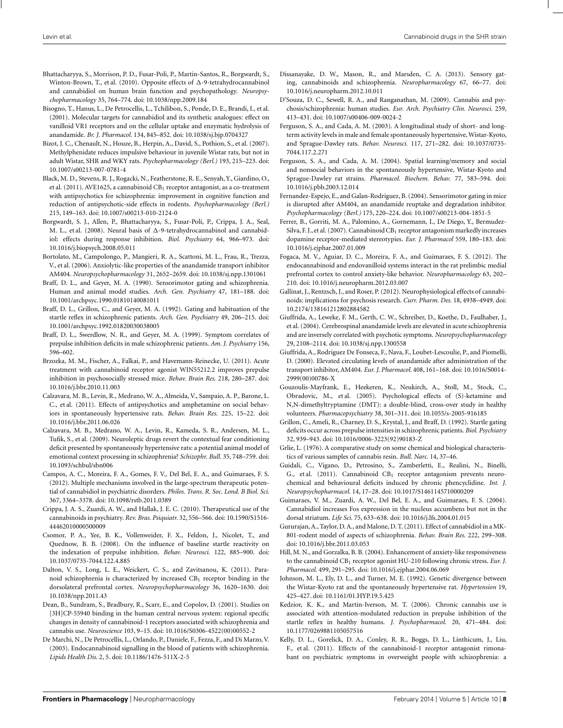- <span id="page-7-0"></span>Bhattacharyya, S., Morrison, P. D., Fusar-Poli, P., Martin-Santos, R., Borgwardt, S., Winton-Brown, T., et al. (2010). Opposite effects of  $\Delta$ -9-tetrahydrocannabinol and cannabidiol on human brain function and psychopathology. *Neuropsychopharmacology* 35, 764–774. doi: 10.1038/npp.2009.184
- Bisogno, T., Hanus, L., De Petrocellis, L., Tchilibon, S., Ponde, D. E., Brandi, I., et al. (2001). Molecular targets for cannabidiol and its synthetic analogues: effect on vanilloid VR1 receptors and on the cellular uptake and enzymatic hydrolysis of anandamide. *Br. J. Pharmacol.* 134, 845–852. doi: 10.1038/sj.bjp.0704327
- Bizot, J. C., Chenault, N., Houze, B., Herpin, A., David, S., Pothion, S., et al. (2007). Methylphenidate reduces impulsive behaviour in juvenile Wistar rats, but not in adult Wistar, SHR and WKY rats. *Psychopharmacology (Berl.)* 193, 215–223. doi: 10.1007/s00213-007-0781-4
- Black, M. D., Stevens, R. J., Rogacki, N., Featherstone, R. E., Senyah, Y., Giardino, O., et al. (2011). AVE1625, a cannabinoid  $CB<sub>1</sub>$  receptor antagonist, as a co-treatment with antipsychotics for schizophrenia: improvement in cognitive function and reduction of antipsychotic-side effects in rodents. *Psychopharmacology (Berl.)* 215, 149–163. doi: 10.1007/s00213-010-2124-0
- Borgwardt, S. J., Allen, P., Bhattacharyya, S., Fusar-Poli, P., Crippa, J. A., Seal, M. L., et al. (2008). Neural basis of  $\Delta$ -9-tetrahydrocannabinol and cannabidiol: effects during response inhibition. *Biol. Psychiatry* 64, 966–973. doi: 10.1016/j.biopsych.2008.05.011
- Bortolato, M., Campolongo, P., Mangieri, R. A., Scattoni, M. L., Frau, R., Trezza, V., et al. (2006). Anxiolytic-like properties of the anandamide transport inhibitor AM404. *Neuropsychopharmacology* 31, 2652–2659. doi: 10.1038/sj.npp.1301061
- Braff, D. L., and Geyer, M. A. (1990). Sensorimotor gating and schizophrenia. Human and animal model studies. *Arch. Gen. Psychiatry* 47, 181–188. doi: 10.1001/archpsyc.1990.01810140081011
- Braff, D. L., Grillon, C., and Geyer, M. A. (1992). Gating and habituation of the startle reflex in schizophrenic patients. *Arch. Gen. Psychiatry* 49, 206–215. doi: 10.1001/archpsyc.1992.01820030038005
- Braff, D. L., Swerdlow, N. R., and Geyer, M. A. (1999). Symptom correlates of prepulse inhibition deficits in male schizophrenic patients. *Am. J. Psychiatry* 156, 596–602.
- Brzozka, M. M., Fischer, A., Falkai, P., and Havemann-Reinecke, U. (2011). Acute treatment with cannabinoid receptor agonist WIN55212.2 improves prepulse inhibition in psychosocially stressed mice. *Behav. Brain Res.* 218, 280–287. doi: 10.1016/j.bbr.2010.11.003
- Calzavara, M. B., Levin, R., Medrano, W. A., Almeida, V., Sampaio, A. P., Barone, L. C., et al. (2011). Effects of antipsychotics and amphetamine on social behaviors in spontaneously hypertensive rats. *Behav. Brain Res.* 225, 15–22. doi: 10.1016/j.bbr.2011.06.026
- Calzavara, M. B., Medrano, W. A., Levin, R., Kameda, S. R., Andersen, M. L., Tufik, S., et al. (2009). Neuroleptic drugs revert the contextual fear conditioning deficit presented by spontaneously hypertensive rats: a potential animal model of emotional context processing in schizophrenia? *Schizophr. Bull.* 35, 748–759. doi: 10.1093/schbul/sbn006
- Campos, A. C., Moreira, F. A., Gomes, F. V., Del Bel, E. A., and Guimaraes, F. S. (2012). Multiple mechanisms involved in the large-spectrum therapeutic potential of cannabidiol in psychiatric disorders. *Philos. Trans. R. Soc. Lond. B Biol. Sci.* 367, 3364–3378. doi: 10.1098/rstb.2011.0389
- Crippa, J. A. S., Zuardi, A. W., and Hallak, J. E. C. (2010). Therapeutical use of the cannabinoids in psychiatry. *Rev. Bras. Psiquiatr.* 32, 556–566. doi: 10.1590/S1516- 44462010000500009
- Csomor, P. A., Yee, B. K., Vollenweider, F. X., Feldon, J., Nicolet, T., and Quednow, B. B. (2008). On the influence of baseline startle reactivity on the indexation of prepulse inhibition. *Behav. Neurosci.* 122, 885–900. doi: 10.1037/0735-7044.122.4.885
- Dalton, V. S., Long, L. E., Weickert, C. S., and Zavitsanou, K. (2011). Paranoid schizophrenia is characterized by increased CB1 receptor binding in the dorsolateral prefrontal cortex. *Neuropsychopharmacology* 36, 1620–1630. doi: 10.1038/npp.2011.43
- Dean, B., Sundram, S., Bradbury, R., Scarr, E., and Copolov, D. (2001). Studies on [3H]CP-55940 binding in the human central nervous system: regional specific changes in density of cannabinoid-1 receptors associated with schizophrenia and cannabis use. *Neuroscience* 103, 9–15. doi: 10.1016/S0306-4522(00)00552-2
- De Marchi, N., De Petrocellis, L., Orlando, P., Daniele, F., Fezza, F., and Di Marzo, V. (2003). Endocannabinoid signalling in the blood of patients with schizophrenia. *Lipids Health Dis.* 2, 5. doi: 10.1186/1476-511X-2-5
- Dissanayake, D. W., Mason, R., and Marsden, C. A. (2013). Sensory gating, cannabinoids and schizophrenia. *Neuropharmacology* 67, 66–77. doi: 10.1016/j.neuropharm.2012.10.011
- D'Souza, D. C., Sewell, R. A., and Ranganathan, M. (2009). Cannabis and psychosis/schizophrenia: human studies. *Eur. Arch. Psychiatry Clin. Neurosci.* 259, 413–431. doi: 10.1007/s00406-009-0024-2
- Ferguson, S. A., and Cada, A. M. (2003). A longitudinal study of short- and longterm activity levels in male and female spontaneously hypertensive, Wistar-Kyoto, and Sprague-Dawley rats. *Behav. Neurosci.* 117, 271–282. doi: 10.1037/0735- 7044.117.2.271
- Ferguson, S. A., and Cada, A. M. (2004). Spatial learning/memory and social and nonsocial behaviors in the spontaneously hypertensive, Wistar-Kyoto and Sprague-Dawley rat strains. *Pharmacol. Biochem. Behav.* 77, 583–594. doi: 10.1016/j.pbb.2003.12.014
- Fernandez-Espejo, E., and Galan-Rodriguez, B. (2004). Sensorimotor gating in mice is disrupted after AM404, an anandamide reuptake and degradation inhibitor. *Psychopharmacology (Berl.)* 175, 220–224. doi: 10.1007/s00213-004-1851-5
- Ferrer, B., Gorriti, M. A., Palomino, A., Gornemann, I., De Diego, Y., Bermudez-Silva, F. J., et al. (2007). Cannabinoid CB<sub>1</sub> receptor antagonism markedly increases dopamine receptor-mediated stereotypies. *Eur. J. Pharmacol* 559, 180–183. doi: 10.1016/j.ejphar.2007.01.009
- Fogaca, M. V., Aguiar, D. C., Moreira, F. A., and Guimaraes, F. S. (2012). The endocannabinoid and endovanilloid systems interact in the rat prelimbic medial prefrontal cortex to control anxiety-like behavior. *Neuropharmacology* 63, 202– 210. doi: 10.1016/j.neuropharm.2012.03.007
- Gallinat, J., Rentzsch, J., and Roser, P. (2012). Neurophysiological effects of cannabinoids: implications for psychosis research. *Curr. Pharm. Des.* 18, 4938–4949. doi: 10.2174/138161212802884582
- Giuffrida, A., Leweke, F. M., Gerth, C. W., Schreiber, D., Koethe, D., Faulhaber, J., et al. (2004). Cerebrospinal anandamide levels are elevated in acute schizophrenia and are inversely correlated with psychotic symptoms. *Neuropsychopharmacology* 29, 2108–2114. doi: 10.1038/sj.npp.1300558
- Giuffrida, A., Rodriguez De Fonseca, F., Nava, F., Loubet-Lescoulie, P., and Piomelli, D. (2000). Elevated circulating levels of anandamide after administration of the transport inhibitor, AM404. *Eur. J. Pharmacol.* 408, 161–168. doi: 10.1016/S0014- 2999(00)00786-X
- Gouzoulis-Mayfrank, E., Heekeren, K., Neukirch, A., Stoll, M., Stock, C., Obradovic, M., et al. (2005). Psychological effects of (S)-ketamine and N,N-dimethyltryptamine (DMT): a double-blind, cross-over study in healthy volunteers. *Pharmacopsychiatry* 38, 301–311. doi: 10.1055/s-2005-916185
- Grillon, C., Ameli, R., Charney, D. S., Krystal, J., and Braff, D. (1992). Startle gating deficits occur across prepulse intensities in schizophrenic patients. *Biol. Psychiatry* 32, 939–943. doi: 10.1016/0006-3223(92)90183-Z
- Grlie, L. (1976). A comparative study on some chemical and biological characteristics of various samples of cannabis resin. *Bull. Narc.* 14, 37–46.
- Guidali, C., Vigano, D., Petrosino, S., Zamberletti, E., Realini, N., Binelli, G., et al. (2011). Cannabinoid  $CB<sub>1</sub>$  receptor antagonism prevents neurochemical and behavioural deficits induced by chronic phencyclidine. *Int. J. Neuropsychopharmacol.* 14, 17–28. doi: 10.1017/S1461145710000209
- Guimaraes, V. M., Zuardi, A. W., Del Bel, E. A., and Guimaraes, F. S. (2004). Cannabidiol increases Fos expression in the nucleus accumbens but not in the dorsal striatum. *Life Sci.* 75, 633–638. doi: 10.1016/j.lfs.2004.01.015
- Gururajan, A., Taylor, D. A., and Malone, D. T. (2011). Effect of cannabidiol in a MK-801-rodent model of aspects of schizophrenia. *Behav. Brain Res.* 222, 299–308. doi: 10.1016/j.bbr.2011.03.053
- Hill, M. N., and Gorzalka, B. B. (2004). Enhancement of anxiety-like responsiveness to the cannabinoid CB1 receptor agonist HU-210 following chronic stress. *Eur. J. Pharmacol.* 499, 291–295. doi: 10.1016/j.ejphar.2004.06.069
- Johnson, M. L., Ely, D. L., and Turner, M. E. (1992). Genetic divergence between the Wistar-Kyoto rat and the spontaneously hypertensive rat. *Hypertension* 19, 425–427. doi: 10.1161/01.HYP.19.5.425
- Kedzior, K. K., and Martin-Iverson, M. T. (2006). Chronic cannabis use is associated with attention-modulated reduction in prepulse inhibition of the startle reflex in healthy humans. *J. Psychopharmacol.* 20, 471–484. doi: 10.1177/0269881105057516
- Kelly, D. L., Gorelick, D. A., Conley, R. R., Boggs, D. L., Linthicum, J., Liu, F., et al. (2011). Effects of the cannabinoid-1 receptor antagonist rimonabant on psychiatric symptoms in overweight people with schizophrenia: a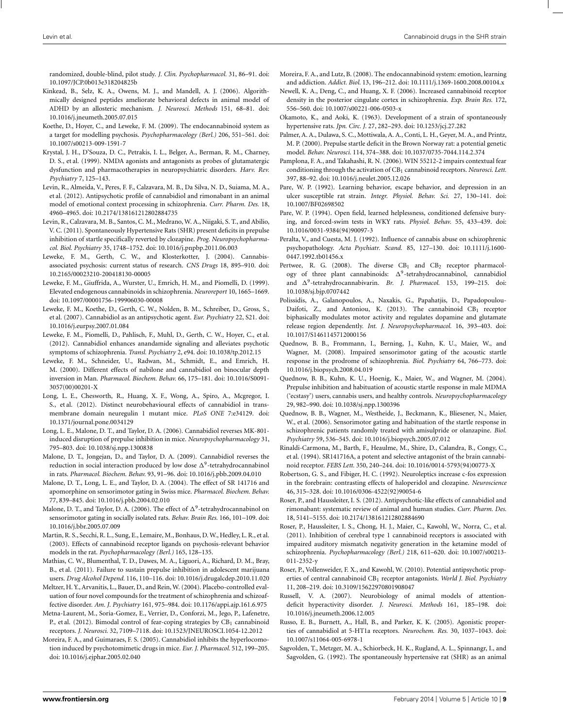<span id="page-8-0"></span>randomized, double-blind, pilot study. *J. Clin. Psychopharmacol.* 31, 86–91. doi: 10.1097/JCP.0b013e318204825b

- Kinkead, B., Selz, K. A., Owens, M. J., and Mandell, A. J. (2006). Algorithmically designed peptides ameliorate behavioral defects in animal model of ADHD by an allosteric mechanism. *J. Neurosci. Methods* 151, 68–81. doi: 10.1016/j.jneumeth.2005.07.015
- Koethe, D., Hoyer, C., and Leweke, F. M. (2009). The endocannabinoid system as a target for modelling psychosis. *Psychopharmacology (Berl.)* 206, 551–561. doi: 10.1007/s00213-009-1591-7
- Krystal, J. H., D'Souza, D. C., Petrakis, I. L., Belger, A., Berman, R. M., Charney, D. S., et al. (1999). NMDA agonists and antagonists as probes of glutamatergic dysfunction and pharmacotherapies in neuropsychiatric disorders. *Harv. Rev. Psychiatry* 7, 125–143.
- Levin, R., Almeida, V., Peres, F. F., Calzavara, M. B., Da Silva, N. D., Suiama, M. A., et al. (2012). Antipsychotic profile of cannabidiol and rimonabant in an animal model of emotional context processing in schizophrenia. *Curr. Pharm. Des.* 18, 4960–4965. doi: 10.2174/138161212802884735
- Levin, R., Calzavara, M. B., Santos, C. M., Medrano, W. A., Niigaki, S. T., and Abilio, V. C. (2011). Spontaneously Hypertensive Rats (SHR) present deficits in prepulse inhibition of startle specifically reverted by clozapine. *Prog. Neuropsychopharmacol. Biol. Psychiatry* 35, 1748–1752. doi: 10.1016/j.pnpbp.2011.06.003
- Leweke, F. M., Gerth, C. W., and Klosterkotter, J. (2004). Cannabisassociated psychosis: current status of research. *CNS Drugs* 18, 895–910. doi: 10.2165/00023210-200418130-00005
- Leweke, F. M., Giuffrida, A., Wurster, U., Emrich, H. M., and Piomelli, D. (1999). Elevated endogenous cannabinoids in schizophrenia. *Neuroreport* 10, 1665–1669. doi: 10.1097/00001756-199906030-00008
- Leweke, F. M., Koethe, D., Gerth, C. W., Nolden, B. M., Schreiber, D., Gross, S., et al. (2007). Cannabidiol as an antipsychotic agent. *Eur. Psychiatry* 22, S21. doi: 10.1016/j.eurpsy.2007.01.084
- Leweke, F. M., Piomelli, D., Pahlisch, F., Muhl, D., Gerth, C. W., Hoyer, C., et al. (2012). Cannabidiol enhances anandamide signaling and alleviates psychotic symptoms of schizophrenia. *Transl. Psychiatry* 2, e94. doi: 10.1038/tp.2012.15
- Leweke, F. M., Schneider, U., Radwan, M., Schmidt, E., and Emrich, H. M. (2000). Different effects of nabilone and cannabidiol on binocular depth inversion in Man. *Pharmacol. Biochem. Behav.* 66, 175–181. doi: 10.1016/S0091- 3057(00)00201-X
- Long, L. E., Chesworth, R., Huang, X. F., Wong, A., Spiro, A., Mcgregor, I. S., et al. (2012). Distinct neurobehavioural effects of cannabidiol in transmembrane domain neuregulin 1 mutant mice. *PLoS ONE* 7:e34129. doi: 10.1371/journal.pone.0034129
- Long, L. E., Malone, D. T., and Taylor, D. A. (2006). Cannabidiol reverses MK-801 induced disruption of prepulse inhibition in mice. *Neuropsychopharmacology* 31, 795–803. doi: 10.1038/sj.npp.1300838
- Malone, D. T., Jongejan, D., and Taylor, D. A. (2009). Cannabidiol reverses the reduction in social interaction produced by low dose  $\Delta^9$ -tetrahydrocannabinol in rats. *Pharmacol. Biochem. Behav.* 93, 91–96. doi: 10.1016/j.pbb.2009.04.010
- Malone, D. T., Long, L. E., and Taylor, D. A. (2004). The effect of SR 141716 and apomorphine on sensorimotor gating in Swiss mice. *Pharmacol. Biochem. Behav.* 77, 839–845. doi: 10.1016/j.pbb.2004.02.010
- Malone, D. T., and Taylor, D. A. (2006). The effect of  $\Delta^9$ -tetrahydrocannabinol on sensorimotor gating in socially isolated rats. *Behav. Brain Res.* 166, 101–109. doi: 10.1016/j.bbr.2005.07.009
- Martin, R. S., Secchi, R. L., Sung, E., Lemaire, M., Bonhaus, D.W., Hedley, L. R., et al. (2003). Effects of cannabinoid receptor ligands on psychosis-relevant behavior models in the rat. *Psychopharmacology (Berl.)* 165, 128–135.
- Mathias, C. W., Blumenthal, T. D., Dawes, M. A., Liguori, A., Richard, D. M., Bray, B., et al. (2011). Failure to sustain prepulse inhibition in adolescent marijuana users. *Drug Alcohol Depend.* 116, 110–116. doi: 10.1016/j.drugalcdep.2010.11.020
- Meltzer, H. Y., Arvanitis, L., Bauer, D., and Rein,W. (2004). Placebo-controlled evaluation of four novel compounds for the treatment of schizophrenia and schizoaffective disorder. *Am. J. Psychiatry* 161, 975–984. doi: 10.1176/appi.ajp.161.6.975
- Metna-Laurent, M., Soria-Gomez, E., Verrier, D., Conforzi, M., Jego, P., Lafenetre, P., et al. (2012). Bimodal control of fear-coping strategies by  $CB<sub>1</sub>$  cannabinoid receptors. *J. Neurosci.* 32, 7109–7118. doi: 10.1523/JNEUROSCI.1054-12.2012
- Moreira, F. A., and Guimaraes, F. S. (2005). Cannabidiol inhibits the hyperlocomotion induced by psychotomimetic drugs in mice. *Eur. J. Pharmacol.* 512, 199–205. doi: 10.1016/j.ejphar.2005.02.040
- Moreira, F. A., and Lutz, B. (2008). The endocannabinoid system: emotion, learning and addiction. *Addict. Biol.* 13, 196–212. doi: 10.1111/j.1369-1600.2008.00104.x
- Newell, K. A., Deng, C., and Huang, X. F. (2006). Increased cannabinoid receptor density in the posterior cingulate cortex in schizophrenia. *Exp. Brain Res.* 172, 556–560. doi: 10.1007/s00221-006-0503-x
- Okamoto, K., and Aoki, K. (1963). Development of a strain of spontaneously hypertensive rats. *Jpn. Circ. J.* 27, 282–293. doi: 10.1253/jcj.27.282
- Palmer, A. A., Dulawa, S. C., Mottiwala, A. A., Conti, L. H., Geyer, M. A., and Printz, M. P. (2000). Prepulse startle deficit in the Brown Norway rat: a potential genetic model. *Behav. Neurosci.* 114, 374–388. doi: 10.1037/0735-7044.114.2.374
- Pamplona, F. A., and Takahashi, R. N. (2006). WIN 55212-2 impairs contextual fear conditioning through the activation of CB<sub>1</sub> cannabinoid receptors. *Neurosci. Lett.* 397, 88–92. doi: 10.1016/j.neulet.2005.12.026
- Pare, W. P. (1992). Learning behavior, escape behavior, and depression in an ulcer susceptible rat strain. *Integr. Physiol. Behav. Sci.* 27, 130–141. doi: 10.1007/BF02698502
- Pare, W. P. (1994). Open field, learned helplessness, conditioned defensive burying, and forced-swim tests in WKY rats. *Physiol. Behav.* 55, 433–439. doi: 10.1016/0031-9384(94)90097-3
- Peralta, V., and Cuesta, M. J. (1992). Influence of cannabis abuse on schizophrenic psychopathology. *Acta Psychiatr. Scand.* 85, 127–130. doi: 10.1111/j.1600- 0447.1992.tb01456.x
- Pertwee, R. G. (2008). The diverse  $CB<sub>1</sub>$  and  $CB<sub>2</sub>$  receptor pharmacology of three plant cannabinoids:  $\Delta^9$ -tetrahydrocannabinol, cannabidiol and  $\Delta^9$ -tetrahydrocannabivarin. *Br. J. Pharmacol.* 153, 199-215. doi: 10.1038/sj.bjp.0707442
- Polissidis, A., Galanopoulos, A., Naxakis, G., Papahatjis, D., Papadopoulou-Daifoti, Z., and Antoniou, K. (2013). The cannabinoid  $CB<sub>1</sub>$  receptor biphasically modulates motor activity and regulates dopamine and glutamate release region dependently. *Int. J. Neuropsychopharmacol.* 16, 393–403. doi: 10.1017/S1461145712000156
- Quednow, B. B., Frommann, I., Berning, J., Kuhn, K. U., Maier, W., and Wagner, M. (2008). Impaired sensorimotor gating of the acoustic startle response in the prodrome of schizophrenia. *Biol. Psychiatry* 64, 766–773. doi: 10.1016/j.biopsych.2008.04.019
- Quednow, B. B., Kuhn, K. U., Hoenig, K., Maier, W., and Wagner, M. (2004). Prepulse inhibition and habituation of acoustic startle response in male MDMA ('ecstasy') users, cannabis users, and healthy controls. *Neuropsychopharmacology* 29, 982–990. doi: 10.1038/sj.npp.1300396
- Quednow, B. B., Wagner, M., Westheide, J., Beckmann, K., Bliesener, N., Maier, W., et al. (2006). Sensorimotor gating and habituation of the startle response in schizophrenic patients randomly treated with amisulpride or olanzapine. *Biol. Psychiatry* 59, 536–545. doi: 10.1016/j.biopsych.2005.07.012
- Rinaldi-Carmona, M., Barth, F., Heaulme, M., Shire, D., Calandra, B., Congy, C., et al. (1994). SR141716A, a potent and selective antagonist of the brain cannabinoid receptor. *FEBS Lett.* 350, 240–244. doi: 10.1016/0014-5793(94)00773-X
- Robertson, G. S., and Fibiger, H. C. (1992). Neuroleptics increase c-fos expression in the forebrain: contrasting effects of haloperidol and clozapine. *Neuroscience* 46, 315–328. doi: 10.1016/0306-4522(92)90054-6
- Roser, P., and Haussleiter, I. S. (2012). Antipsychotic-like effects of cannabidiol and rimonabant: systematic review of animal and human studies. *Curr. Pharm. Des.* 18, 5141–5155. doi: 10.2174/138161212802884690
- Roser, P., Haussleiter, I. S., Chong, H. J., Maier, C., Kawohl, W., Norra, C., et al. (2011). Inhibition of cerebral type 1 cannabinoid receptors is associated with impaired auditory mismatch negativity generation in the ketamine model of schizophrenia. *Psychopharmacology (Berl.)* 218, 611–620. doi: 10.1007/s00213- 011-2352-y
- Roser, P., Vollenweider, F. X., and Kawohl, W. (2010). Potential antipsychotic properties of central cannabinoid CB1 receptor antagonists. *World J. Biol. Psychiatry* 11, 208–219. doi: 10.3109/15622970801908047
- Russell, V. A. (2007). Neurobiology of animal models of attentiondeficit hyperactivity disorder. *J. Neurosci. Methods* 161, 185–198. doi: 10.1016/j.jneumeth.2006.12.005
- Russo, E. B., Burnett, A., Hall, B., and Parker, K. K. (2005). Agonistic properties of cannabidiol at 5-HT1a receptors. *Neurochem. Res.* 30, 1037–1043. doi: 10.1007/s11064-005-6978-1
- Sagvolden, T., Metzger, M. A., Schiorbeck, H. K., Rugland, A. L., Spinnangr, I., and Sagvolden, G. (1992). The spontaneously hypertensive rat (SHR) as an animal